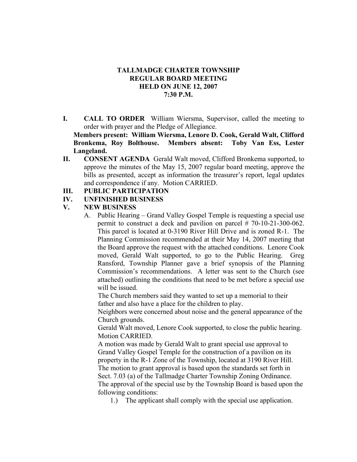#### **TALLMADGE CHARTER TOWNSHIP REGULAR BOARD MEETING HELD ON JUNE 12, 2007 7:30 P.M.**

**I. CALL TO ORDER** William Wiersma, Supervisor, called the meeting to order with prayer and the Pledge of Allegiance.

**Members present: William Wiersma, Lenore D. Cook, Gerald Walt, Clifford Bronkema, Roy Bolthouse. Members absent: Toby Van Ess, Lester Langeland.** 

**II. CONSENT AGENDA** Gerald Walt moved, Clifford Bronkema supported, to approve the minutes of the May 15, 2007 regular board meeting, approve the bills as presented, accept as information the treasurer's report, legal updates and correspondence if any. Motion CARRIED.

### **III. PUBLIC PARTICIPATION**

#### **IV. UNFINISHED BUSINESS**

### **V. NEW BUSINESS**

A. Public Hearing – Grand Valley Gospel Temple is requesting a special use permit to construct a deck and pavilion on parcel # 70-10-21-300-062. This parcel is located at 0-3190 River Hill Drive and is zoned R-1. The Planning Commission recommended at their May 14, 2007 meeting that the Board approve the request with the attached conditions. Lenore Cook moved, Gerald Walt supported, to go to the Public Hearing. Greg Ransford, Township Planner gave a brief synopsis of the Planning Commission's recommendations. A letter was sent to the Church (see attached) outlining the conditions that need to be met before a special use will be issued.

 The Church members said they wanted to set up a memorial to their father and also have a place for the children to play.

 Neighbors were concerned about noise and the general appearance of the Church grounds.

 Gerald Walt moved, Lenore Cook supported, to close the public hearing. Motion CARRIED.

 A motion was made by Gerald Walt to grant special use approval to Grand Valley Gospel Temple for the construction of a pavilion on its property in the R-1 Zone of the Township, located at 3190 River Hill. The motion to grant approval is based upon the standards set forth in Sect. 7.03 (a) of the Tallmadge Charter Township Zoning Ordinance. The approval of the special use by the Township Board is based upon the following conditions:

1.) The applicant shall comply with the special use application.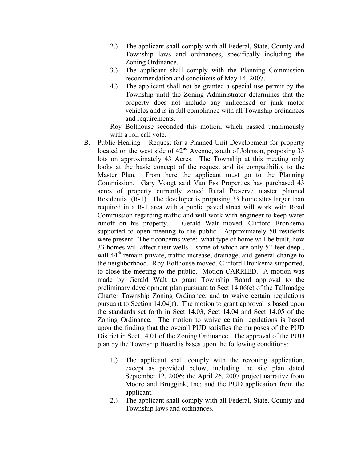- 2.) The applicant shall comply with all Federal, State, County and Township laws and ordinances, specifically including the Zoning Ordinance.
- 3.) The applicant shall comply with the Planning Commission recommendation and conditions of May 14, 2007.
- 4.) The applicant shall not be granted a special use permit by the Township until the Zoning Administrator determines that the property does not include any unlicensed or junk motor vehicles and is in full compliance with all Township ordinances and requirements.

Roy Bolthouse seconded this motion, which passed unanimously with a roll call vote.

- B. Public Hearing Request for a Planned Unit Development for property located on the west side of  $42<sup>nd</sup>$  Avenue, south of Johnson, proposing 33 lots on approximately 43 Acres. The Township at this meeting only looks at the basic concept of the request and its compatibility to the Master Plan. From here the applicant must go to the Planning Commission. Gary Voogt said Van Ess Properties has purchased 43 acres of property currently zoned Rural Preserve master planned Residential (R-1). The developer is proposing 33 home sites larger than required in a R-1 area with a public paved street will work with Road Commission regarding traffic and will work with engineer to keep water runoff on his property. Gerald Walt moved, Clifford Bronkema supported to open meeting to the public. Approximately 50 residents were present. Their concerns were: what type of home will be built, how 33 homes will affect their wells – some of which are only 52 feet deep-, will  $44<sup>th</sup>$  remain private, traffic increase, drainage, and general change to the neighborhood. Roy Bolthouse moved, Clifford Bronkema supported, to close the meeting to the public. Motion CARRIED. A motion was made by Gerald Walt to grant Township Board approval to the preliminary development plan pursuant to Sect 14.06(e) of the Tallmadge Charter Township Zoning Ordinance, and to waive certain regulations pursuant to Section 14.04(f). The motion to grant approval is based upon the standards set forth in Sect 14.03, Sect 14.04 and Sect 14.05 of the Zoning Ordinance. The motion to waive certain regulations is based upon the finding that the overall PUD satisfies the purposes of the PUD District in Sect 14.01 of the Zoning Ordinance. The approval of the PUD plan by the Township Board is bases upon the following conditions:
	- 1.) The applicant shall comply with the rezoning application, except as provided below, including the site plan dated September 12, 2006; the April 26, 2007 project narrative from Moore and Bruggink, Inc; and the PUD application from the applicant.
	- 2.) The applicant shall comply with all Federal, State, County and Township laws and ordinances.